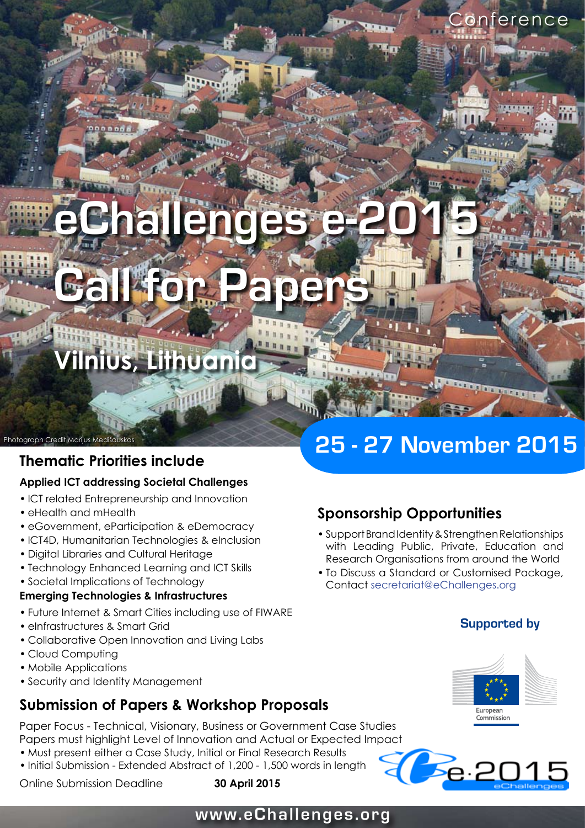# **Jhallenge Call for Papers**

**Vilnius, Lithuania**

### **Thematic Priorities include**

### **Applied ICT addressing Societal Challenges**

- ICT related Entrepreneurship and Innovation
- eHealth and mHealth

Photograph Credit Marijus Medišauska

- eGovernment, eParticipation & eDemocracy
- ICT4D, Humanitarian Technologies & eInclusion
- Digital Libraries and Cultural Heritage •
- Technology Enhanced Learning and ICT Skills
- Societal Implications of Technology •

### **Emerging Technologies & Infrastructures**

- Future Internet & Smart Cities including use of FIWARE •
- eInfrastructures & Smart Grid
- Collaborative Open Innovation and Living Labs •
- Cloud Computing
- Mobile Applications
- Security and Identity Management •

### **Submission of Papers & Workshop Proposals**

Paper Focus - Technical, Visionary, Business or Government Case Studies

- Papers must highlight Level of Innovation and Actual or Expected Impact
- Must present either a Case Study, Initial or Final Research Results • Initial Submission - Extended Abstract of 1,200 - 1,500 words in length



### **25 - 27 November 2015**

### **Sponsorship Opportunities**

- Support Brand Identity & Strengthen Relationships with Leading Public, Private, Education and Research Organisations from around the World
- To Discuss a Standard or Customised Package, Contact secretariat@eChallenges.org

### **Supported by**

onterence



**Te.2015** 

### **www.eChallenges.org**